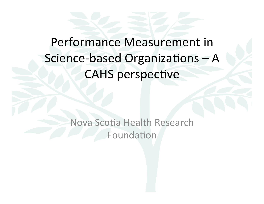## Performance Measurement in Science-based Organizations - A **CAHS perspective**

Nova Scotia Health Research Foundation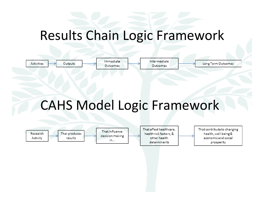### Results Chain Logic Framework

| Activities | Immediate | ntermediate | Long Term Outcomes |
|------------|-----------|-------------|--------------------|
| Outputs    | Outcomes  | Outcomes    |                    |

# CAHS Model Logic Framework

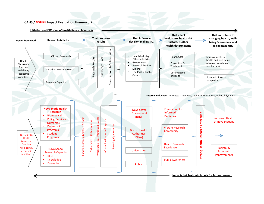#### **CAHS / NSHRF Impact Evaluation Framework**